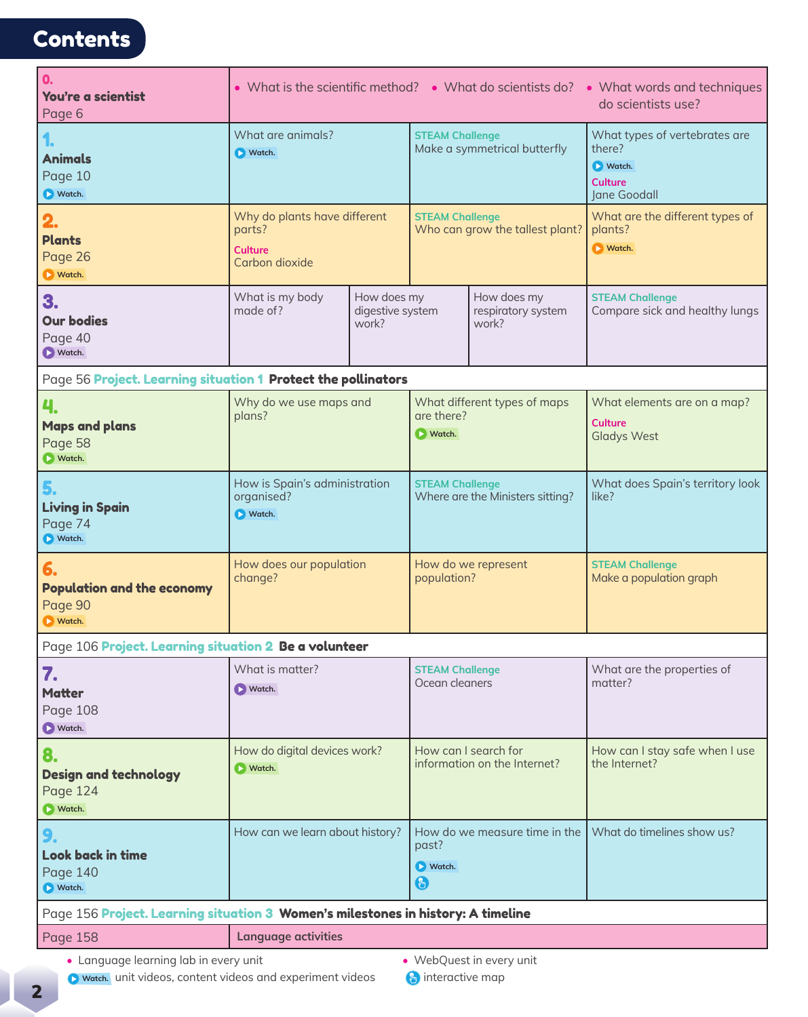## **Contents**

| $\mathbf{0}$<br>You're a scientist<br>Page 6                                     | • What is the scientific method? • What do scientists do? • What words and techniques<br>do scientists use? |  |                                                      |                                  |                                                                                     |  |  |  |  |  |  |
|----------------------------------------------------------------------------------|-------------------------------------------------------------------------------------------------------------|--|------------------------------------------------------|----------------------------------|-------------------------------------------------------------------------------------|--|--|--|--|--|--|
| <b>Animals</b><br>Page 10<br>Watch.                                              | What are animals?<br><b>D</b> Watch.                                                                        |  | <b>STEAM Challenge</b>                               | Make a symmetrical butterfly     | What types of vertebrates are<br>there?<br>Watch.<br><b>Culture</b><br>Jane Goodall |  |  |  |  |  |  |
| 2.<br><b>Plants</b><br>Page 26<br><b>N</b> Watch.                                | Why do plants have different<br>parts?<br>Culture<br>Carbon dioxide                                         |  | <b>STEAM Challenge</b>                               | Who can grow the tallest plant?  | What are the different types of<br>plants?<br><b>D</b> Watch.                       |  |  |  |  |  |  |
| 3.<br><b>Our bodies</b><br>Page 40<br>Watch.                                     | How does my<br>What is my body<br>made of?<br>digestive system<br>work?                                     |  | How does my<br>respiratory system<br>work?           |                                  | <b>STEAM Challenge</b><br>Compare sick and healthy lungs                            |  |  |  |  |  |  |
| Page 56 Project. Learning situation 1 Protect the pollinators                    |                                                                                                             |  |                                                      |                                  |                                                                                     |  |  |  |  |  |  |
| <b>Maps and plans</b><br>Page 58<br><b>Natch.</b>                                | Why do we use maps and<br>plans?                                                                            |  | What different types of maps<br>are there?<br>Natch. |                                  | What elements are on a map?<br><b>Culture</b><br><b>Gladys West</b>                 |  |  |  |  |  |  |
| 5.<br><b>Living in Spain</b><br>Page 74<br>Watch.                                | How is Spain's administration<br>organised?<br>Watch.                                                       |  | <b>STEAM Challenge</b>                               | Where are the Ministers sitting? | What does Spain's territory look<br>like?                                           |  |  |  |  |  |  |
| 6.<br><b>Population and the economy</b><br>Page 90<br><b>D</b> Watch.            | How does our population<br>change?                                                                          |  | population?                                          | How do we represent              | <b>STEAM Challenge</b><br>Make a population graph                                   |  |  |  |  |  |  |
| Page 106 Project. Learning situation 2 Be a volunteer                            |                                                                                                             |  |                                                      |                                  |                                                                                     |  |  |  |  |  |  |
| 7.<br><b>Matter</b><br>Page 108<br>Watch.                                        | What is matter?<br>$\triangleright$ Watch.                                                                  |  | <b>STEAM Challenge</b><br>Ocean cleaners             |                                  | What are the properties of<br>matter?                                               |  |  |  |  |  |  |
| 8.<br><b>Design and technology</b><br>Page 124<br>Natch.                         | How do digital devices work?<br>Natch.                                                                      |  | How can I search for<br>information on the Internet? |                                  | How can I stay safe when I use<br>the Internet?                                     |  |  |  |  |  |  |
| 9.<br>Look back in time<br>Page 140<br>Watch.                                    | How can we learn about history?                                                                             |  | past?<br><b>D</b> Watch.<br>$\bigoplus$              | How do we measure time in the    | What do timelines show us?                                                          |  |  |  |  |  |  |
| Page 156 Project. Learning situation 3 Women's milestones in history: A timeline |                                                                                                             |  |                                                      |                                  |                                                                                     |  |  |  |  |  |  |
| <b>Page 158</b>                                                                  | <b>Language activities</b>                                                                                  |  |                                                      |                                  |                                                                                     |  |  |  |  |  |  |

**•** Language learning lab in every unit **•** WebQuest in every unit

- **D** watch. unit videos, content videos and experiment videos **interactive map**
-